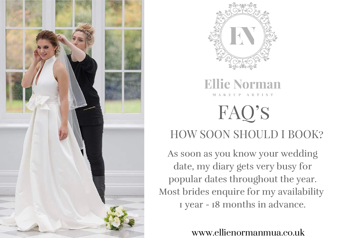



#### **Ellie Norman MAKEUP ARTIST**

# FAQ's HOW SOON SHOULD I BOOK?

As soon as you know your wedding date, my diary gets very busy for popular dates throughout the year. Most brides enquire for my availability 1 year - 18 months in advance.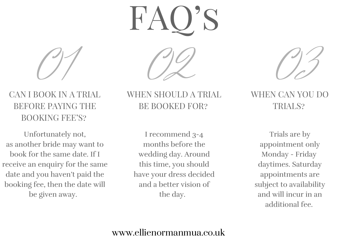FAQ's



## BEFORE PAYING THE BOOKING FEE'S?



WHEN SHOULD A TRIAL BE BOOKED FOR?

Unfortunately not, as another bride may want to book for the same date. If I receive an enquiry for the same date and you haven't paid the booking fee, then the date will be given away.

I recommend 3-4 months before the wedding day. Around this time, you should have your dress decided and a better vision of the day.

#### WHEN CAN YOU DO TRIALS?

Trials are by appointment only Monday - Friday daytimes. Saturday appointments are subject to availability and will incur in an additional fee.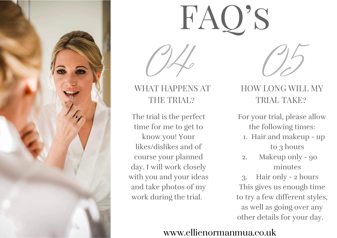

## WHAT HAPPENS AT THE TRIAL?

### HOW LONG WILL MY TRIAL TAKE?

The trial is the perfect time for me to get to know you! Your likes/dislikes and of course your planned day. I will work closely with you and your ideas and take photos of my work during the trial.

# FAQ'S



OH 05

- For your trial, please allow the following times:
	- 1. Hair and makeup up to 3 hours
	- Makeup only 90 minutes 2.

Hair only - 2 hours 3. This gives us enough time to try a few different styles, as well as going over any other details for your day.